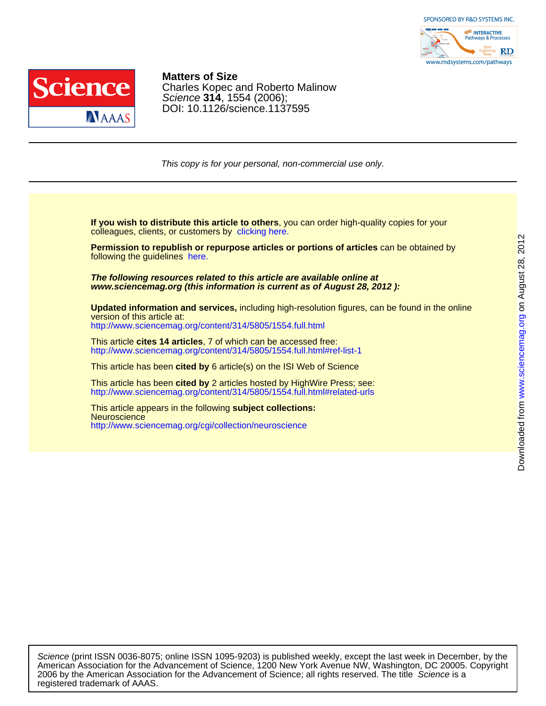



DOI: 10.1126/science.1137595 Science **314**, 1554 (2006); Charles Kopec and Roberto Malinow **Matters of Size**

This copy is for your personal, non-commercial use only.

colleagues, clients, or customers by [clicking here.](http://www.sciencemag.org/about/permissions.dtl) **If you wish to distribute this article to others**, you can order high-quality copies for your

following the guidelines [here.](http://www.sciencemag.org/about/permissions.dtl) **Permission to republish or repurpose articles or portions of articles** can be obtained by

**www.sciencemag.org (this information is current as of August 28, 2012 ): The following resources related to this article are available online at**

version of this article at: **Updated information and services,** including high-resolution figures, can be found in the online

<http://www.sciencemag.org/content/314/5805/1554.full.html>

<http://www.sciencemag.org/content/314/5805/1554.full.html#ref-list-1> This article **cites 14 articles**, 7 of which can be accessed free:

This article has been **cited by** 6 article(s) on the ISI Web of Science

<http://www.sciencemag.org/content/314/5805/1554.full.html#related-urls> This article has been **cited by** 2 articles hosted by HighWire Press; see:

<http://www.sciencemag.org/cgi/collection/neuroscience> **Neuroscience** This article appears in the following **subject collections:**

registered trademark of AAAS. 2006 by the American Association for the Advancement of Science; all rights reserved. The title Science is a American Association for the Advancement of Science, 1200 New York Avenue NW, Washington, DC 20005. Copyright Science (print ISSN 0036-8075; online ISSN 1095-9203) is published weekly, except the last week in December, by the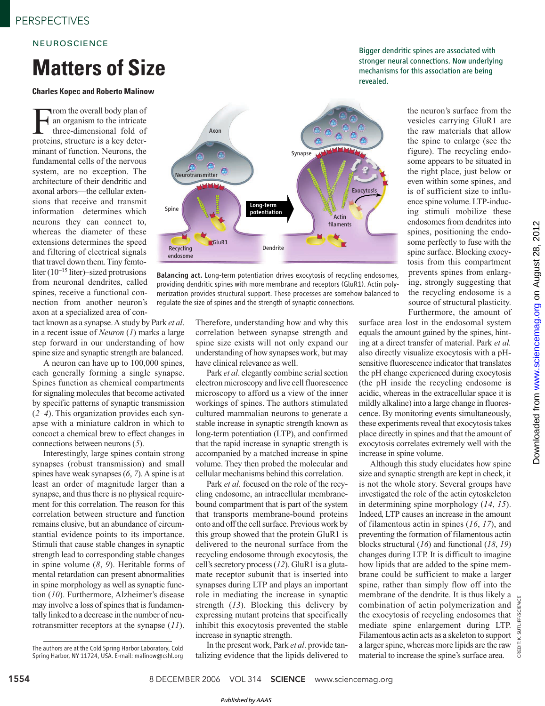### **NEUROSCIENCE**

## **Matters of Size**

#### **Charles Kopec and Roberto Malinow**

From the overall body plan of<br>an organism to the intricate<br>three-dimensional fold of<br>proteins, structure is a key deterrom the overall body plan of an organism to the intricate three-dimensional fold of minant of function. Neurons, the fundamental cells of the nervous system, are no exception. The architecture of their dendritic and axonal arbors—the cellular extensions that receive and transmit information—determines which neurons they can connect to, whereas the diameter of these extensions determines the speed and filtering of electrical signals that travel down them. Tiny femtoliter (10<sup>−</sup><sup>15</sup> liter)–sized protrusions from neuronal dendrites, called spines, receive a functional connection from another neuron's axon at a specialized area of con-

tact known as a synapse. A study by Park *et al*. in a recent issue of *Neuron* (*1*) marks a large step forward in our understanding of how spine size and synaptic strength are balanced.

A neuron can have up to 100,000 spines, each generally forming a single synapse. Spines function as chemical compartments for signaling molecules that become activated by specific patterns of synaptic transmission (*2*–*4*). This organization provides each synapse with a miniature caldron in which to concoct a chemical brew to effect changes in connections between neurons (*5*).

Interestingly, large spines contain strong synapses (robust transmission) and small spines have weak synapses (*6*, *7*). A spine is at least an order of magnitude larger than a synapse, and thus there is no physical requirement for this correlation. The reason for this correlation between structure and function remains elusive, but an abundance of circumstantial evidence points to its importance. Stimuli that cause stable changes in synaptic strength lead to corresponding stable changes in spine volume (*8*, *9*). Heritable forms of mental retardation can present abnormalities in spine morphology as well as synaptic function (*10*). Furthermore, Alzheimer's disease may involve a loss of spines that is fundamentally linked to a decrease in the number of neurotransmitter receptors at the synapse (*11*).



Balancing act. Long-term potentiation drives exocytosis of recycling endosomes, providing dendritic spines with more membrane and receptors (GluR1). Actin polymerization provides structural support. These processes are somehow balanced to regulate the size of spines and the strength of synaptic connections.

> Therefore, understanding how and why this correlation between synapse strength and spine size exists will not only expand our understanding of how synapses work, but may have clinical relevance as well.

> Park *et al*. elegantly combine serial section electron microscopy and live cell fluorescence microscopy to afford us a view of the inner workings of spines. The authors stimulated cultured mammalian neurons to generate a stable increase in synaptic strength known as long-term potentiation (LTP), and confirmed that the rapid increase in synaptic strength is accompanied by a matched increase in spine volume. They then probed the molecular and cellular mechanisms behind this correlation.

> Park *et al*. focused on the role of the recycling endosome, an intracellular membranebound compartment that is part of the system that transports membrane-bound proteins onto and off the cell surface. Previous work by this group showed that the protein GluR1 is delivered to the neuronal surface from the recycling endosome through exocytosis, the cell's secretory process (*12*). GluR1 is a glutamate receptor subunit that is inserted into synapses during LTP and plays an important role in mediating the increase in synaptic strength (*13*). Blocking this delivery by expressing mutant proteins that specifically inhibit this exocytosis prevented the stable increase in synaptic strength.

> In the present work, Park *et al*. provide tantalizing evidence that the lipids delivered to

Bigger dendritic spines are associated with stronger neural connections. Now underlying mechanisms for this association are being revealed.

> the neuron's surface from the vesicles carrying GluR1 are the raw materials that allow the spine to enlarge (see the figure). The recycling endosome appears to be situated in the right place, just below or even within some spines, and is of sufficient size to influence spine volume. LTP-inducing stimuli mobilize these endosomes from dendrites into spines, positioning the endosome perfectly to fuse with the spine surface. Blocking exocytosis from this compartment prevents spines from enlarging, strongly suggesting that the recycling endosome is a source of structural plasticity. Furthermore, the amount of

surface area lost in the endosomal system equals the amount gained by the spines, hinting at a direct transfer of material. Park *et al.* also directly visualize exocytosis with a pHsensitive fluorescence indicator that translates the pH change experienced during exocytosis (the pH inside the recycling endosome is acidic, whereas in the extracellular space it is mildly alkaline) into a large change in fluorescence. By monitoring events simultaneously, these experiments reveal that exocytosis takes place directly in spines and that the amount of exocytosis correlates extremely well with the increase in spine volume.

Although this study elucidates how spine size and synaptic strength are kept in check, it is not the whole story. Several groups have investigated the role of the actin cytoskeleton in determining spine morphology (*14*, *15*). Indeed, LTP causes an increase in the amount of filamentous actin in spines (*16*, *17*), and preventing the formation of filamentous actin blocks structural (*16*) and functional (*18*, *19*) changes during LTP. It is difficult to imagine how lipids that are added to the spine membrane could be sufficient to make a larger spine, rather than simply flow off into the membrane of the dendrite. It is thus likely a combination of actin polymerization and the exocytosis of recycling endosomes that mediate spine enlargement during LTP. Filamentous actin acts as a skeleton to support a larger spine, whereas more lipids are the raw material to increase the spine's surface area.

CREDIT: K. SUTLIFF/SCIENCE

**CREDIT** 

The authors are at the Cold Spring Harbor Laboratory, Cold Spring Harbor, NY 11724, USA. E-mail: malinow@cshl.org